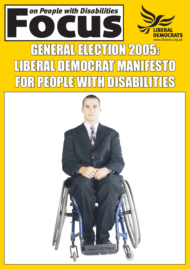

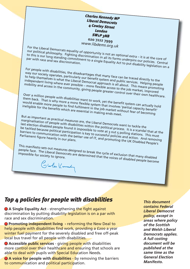*Charles Kennedy MP Liberal Democrats 4 Cowley Street London SW1P 3NB* **020 7222 7999** *www.libdems.org.uk*

For the Liberal Democrats equality of opportunity is not an optional extra  $-$  it is at the core of our political philosophy. Fighting discrimination in all its forms underpins our bat the core of<br>to this is our long standing commitment to a single Equality Act to put displaint our policies. Central<br>par with race and sex our pointical princes principles. I ignority also minimized in all the forms allow puls our pointies. Certain<br>to this is our long standing commitment to a single Equality Act to put disability legislation on a

For people with disabilities, the disadvantages that many face can be traced directly to the Way our society operates, particularly our benefit system and public services. Helping people to help themselves is what the Liberal Democrat approach is all about. This means promoting independent living where ever possible – more flexible access to the job market, improved mobility and access in the community, giving people greater control over their own healthcare.

Over a million people with disabilities want to work, yet the benefit system can actually hold<br>them back. That is why more a more flexible system that involves 'partial capacity hold<br>would enable more people to find fulfil them back. That is why more a more flexible system that involves 'partial capacity benefit' would enable more people to find fulfilment in the involves 'partial capacity benefit<br>ineligible for the benefits which are essential in the job market without fear of becoming<br>.

But as important as practical measures are, the Liberal Democrats want to tackle the marginalisation of people with disabilities within the political process.<br>Inst election disabled people found it impossible to volted at 3 process. It is a scandal that at the<br>be tackled because political participation is last election disabled people found it impossible to vote at 3 out 5 polling stations. This must<br>be tackled because political participation is key to successful policies and actions. This must<br>parliament figure heavily in be tacking because pointical purscripturers is neg to successity pointies and activity singularity. Darriers to communication with the better use of IT, and providing stations. This must<br>Parliament figure heavily in our plans.<br>Parliament figure heavily in our plans.

This manifesto sets out measures designed to break the cycle of exclusion that many disabled impossible for society to ignore. people face. The Liberal Democrats are determined that the voices of disabled people become<br>impossible for society to ignore.<br>Colorles (Comment)

# *Top 4 policies for people with disabilities This document*

● A Single Equality Act - strengthening the fight against discrimination by putting disability legislation is on a par with race and sex discrimination.

**• Promoting independent living** - reforming the New Deal to help people with disabilities find work, providing a f200 a year winter fuel payment for the severely disabled and free off-peak local bus travel for all people with disabilities.

● **Accessible public services** - giving people with disabilities more control over their healthcare and ensuring that schools are able to deal with pupils with Special Education Needs.

**A voice for people with disabilities** - by removing the barriers to communication and political participation.

*contains Federal Liberal Democrat policy, except in areas where policy of the Scottish and Welsh Liberal Democrats applies. A full costing document will be published at the same time as the General Election Manifesto.*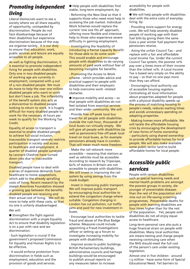# *Promoting independent living*

Liberal Democrats want to see a society where we all share equality of opportunity, unimpeded by discrimination. People do not face disadvantage because of their disabilities but experience discrimination because of the way we organise society. It is our duty to ensure that education, work, public services and leisure are equally accessible to all people.

As well as fighting discrimination, it is essential to promote independent living for people with disabilities. Only one in two disabled people of working age are currently in employment, compared with 4 out of 5 non-disabled people. We must do more to help the over one million disabled people who want to work but don't have a job. The inflexibility of the benefit system also acts as a disincentive to disabled people looking to return to work. It is hugely difficult for many disabled people to work for the necessary 16 hours per week to qualify for the Working Tax Credit.

Equality of access to transport is essential to enable disabled people to achieve full social inclusion. Inaccessible transport severely restricts participation in society and access to healthcare and employment. A quarter of disabled people surveyed by Leonard Cheshire have turned down jobs due to inaccessible transport.

Disabled people have to deal with a series of expensive demands from healthcare to home adaptations, which add to the already spiralling costs of living. Recent research by the Joseph Rowntree Foundation showed a growing gap between the benefits disabled people are receiving and their actual cost of living. We will do more to help with these costs, so that no one is unfairly disadvantaged.

### We will:

● Strengthen the fight against discrimination with a single Equality Act to ensure that disability legislation is on a par with race and sex discrimination.

- Such legislation is crucial if the government's proposed Commission for Equality and Human Rights is to be effective.

- It would enforce protection from discrimination in fields such as employment, education and the provision of goods and services.

 $\bullet$  Help people with disabilities find stable, long-term employment, by:

- Reforming the New Deal so that it supports those who need most help in accessing the job market. Individual Work Schemes would replace the current 'one size fits all' approach, offering more flexible and intensive help to those who experience severe difficulty in gaining employment.

- Investigating the feasibility of introducing a Partial Capacity Benefit for those able to do some work. This would enable and encourage people with disabilities to do varying amounts of paid work without fear of becoming ineligible for benefits.

- Promoting the Access to Work scheme - which provides advice and practical support to people with disabilities and their employers to help overcome work -related obstacles.

 $\bullet$  Improve mobility and access  $-$  so that people with disabilities do not feel isolated from essential services and their wider community. We will:

- Provide free off-peak local bus travel for all people with disabilities. Outside the rush hour, thousands of local buses run virtually empty. We will give all people with disabilities (as well as pensioners) free off-peak local travel on local buses, as for example pensioners already have in London. That will mean much more freedom.

- Make the rail network more accessible  $-$  meaning that stations as well as vehicles must be accessible. According to research by Tripscope, 60% of stations in Britain are not accessible to people with disabilities. We will invest in improving the rail system by using savings from the roads budget.

- Invest in improving public transport. We will improve public transport by encouraging local authorities to extend the congestion charge where suitable. Congestion charging in London has cut pollution, cut traffic jams and paid for new investment in buses.

- Encourage local authorities to tackle fraud and abuse of the Blue Badge scheme. Measures could include appointing a Fraud Investigations officer or setting up a forum to investigate increasing mobility for people with disabilities.

- Improve access to public buildings. British Parliamentary buildings, administrative councils and heritage buildings would be encouraged to publish annual reports on any measures taken to increase

accessibility for people with disabilities.

● We will help people with disabilities deal with the extra costs of everyday living, by:

- Providing more support for energy costs. We will help severely disabled people of working age with their fuel bills by giving them the same £200 a year winter fuel payment that pensioners receive.

- Axing the unfair Council Tax - and replace with a fair and affordable Local Income Tax. Under the current Council Tax system, the poorest 10% pay over 4 times more of their income than the richest 10%. A Local Income Tax is based very simply on the ability to pay  $-$  so that no one pays more than they can afford.

- Encouraging local authority use of accessible housing registers. Centralising all local information about properties adapted for people with a physical disability speeds up the process of matching housing to peopleís needs, reduces waiting times and avoids unnecessary spending on adapting properties.

- Making homes more affordable. We will tackle the affordable housing crisis by encouraging the development of new forms of home ownership - particularly using shared ownership to provide affordable homes for local people. We will also make available some public sector land to build affordable homes for local people.

## *Accessible public services*

People with certain disabilities such as special learning needs and mental health problems are amongst the poorest groups in society, die younger of preventable diseases than the rest of the population and miss out on life-saving screening programmes. Preventable deaths for people with learning disabilities are four times higher than for the rest of the population. Yet, people with disabilities do not all enjoy equal access to healthcare.

Long-term personal care also puts a huge financial strain on people with disabilities. Many local authorities are means-testing and charge people receiving continuing care when the NHS should meet the full cost of the person's care under existing legislation.

Almost one in five children - around 1.5 million - have some form of Special Educational Need. Yet barriers to